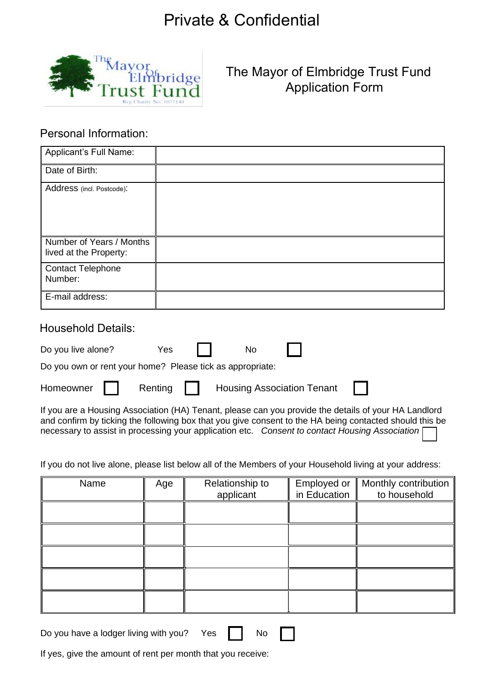

The Mayor of Elmbridge Trust Fund Application Form

#### Personal Information:

| Applicant's Full Name:                             |  |
|----------------------------------------------------|--|
| Date of Birth:                                     |  |
| Address (incl. Postcode):                          |  |
| Number of Years / Months<br>lived at the Property: |  |
| <b>Contact Telephone</b><br>Number:                |  |
| E-mail address:                                    |  |

#### Household Details:

| Do you own or rent your home? Please tick as appropriate: | Do you live alone? | Yes II | <b>No</b> |  |  |
|-----------------------------------------------------------|--------------------|--------|-----------|--|--|
| Homeowner   Renting   Housing Association Tenant          |                    |        |           |  |  |
|                                                           |                    |        |           |  |  |

If you are a Housing Association (HA) Tenant, please can you provide the details of your HA Landlord and confirm by ticking the following box that you give consent to the HA being contacted should this be necessary to assist in processing your application etc. *Consent to contact Housing Association* 

If you do not live alone, please list below all of the Members of your Household living at your address:

| Name | Age | Relationship to<br>applicant | Employed or<br>in Education | Monthly contribution<br>to household |
|------|-----|------------------------------|-----------------------------|--------------------------------------|
|      |     |                              |                             |                                      |
|      |     |                              |                             |                                      |
|      |     |                              |                             |                                      |
|      |     |                              |                             |                                      |
|      |     |                              |                             |                                      |

Do you have a lodger living with you? Yes  $\parallel$  No

If yes, give the amount of rent per month that you receive: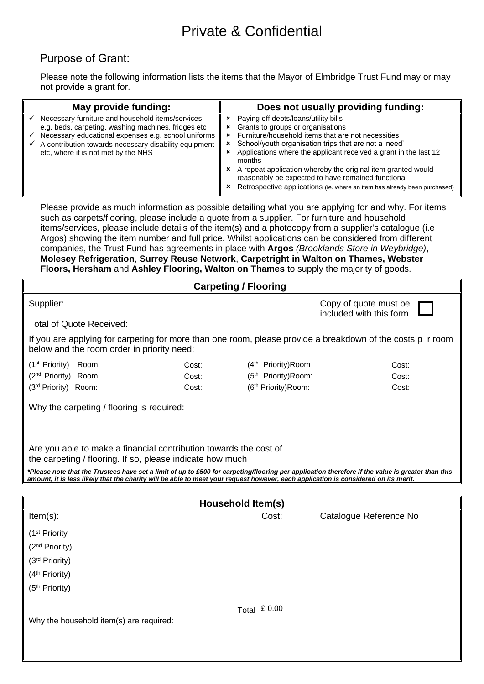### Purpose of Grant:

Please note the following information lists the items that the Mayor of Elmbridge Trust Fund may or may not provide a grant for.

| May provide funding:                                                                                                                                                                                                                                           | Does not usually providing funding:                                                                                                                                                                                                                                                                                                                                                                                                                                                       |
|----------------------------------------------------------------------------------------------------------------------------------------------------------------------------------------------------------------------------------------------------------------|-------------------------------------------------------------------------------------------------------------------------------------------------------------------------------------------------------------------------------------------------------------------------------------------------------------------------------------------------------------------------------------------------------------------------------------------------------------------------------------------|
| Necessary furniture and household items/services<br>e.g. beds, carpeting, washing machines, fridges etc<br>Necessary educational expenses e.g. school uniforms<br>A contribution towards necessary disability equipment<br>etc, where it is not met by the NHS | Paying off debts/loans/utility bills<br>Grants to groups or organisations<br>Furniture/household items that are not necessities<br>School/youth organisation trips that are not a 'need'<br>$\mathbf{x}$<br>Applications where the applicant received a grant in the last 12<br>months<br>A repeat application whereby the original item granted would<br>reasonably be expected to have remained functional<br>Retrospective applications (ie. where an item has already been purchased) |

Please provide as much information as possible detailing what you are applying for and why. For items such as carpets/flooring, please include a quote from a supplier. For furniture and household items/services, please include details of the item(s) and a photocopy from a supplier's catalogue (i.e Argos) showing the item number and full price. Whilst applications can be considered from different companies, the Trust Fund has agreements in place with **Argos** *(Brooklands Store in Weybridge)*, **Molesey Refrigeration**, **Surrey Reuse Network**, **Carpetright in Walton on Thames, Webster Floors, Hersham** and **Ashley Flooring, Walton on Thames** to supply the majority of goods.

|                                                                                                                                                                                                                                                                                        |       | <b>Carpeting / Flooring</b>      |                                                                                                            |  |
|----------------------------------------------------------------------------------------------------------------------------------------------------------------------------------------------------------------------------------------------------------------------------------------|-------|----------------------------------|------------------------------------------------------------------------------------------------------------|--|
| Supplier:<br>otal of Quote Received:                                                                                                                                                                                                                                                   |       |                                  | Copy of quote must be<br>included with this form                                                           |  |
| below and the room order in priority need:                                                                                                                                                                                                                                             |       |                                  | If you are applying for carpeting for more than one room, please provide a breakdown of the costs p r room |  |
| (1 <sup>st</sup> Priority)<br>Room:                                                                                                                                                                                                                                                    | Cost: | (4 <sup>th</sup> Priority) Room  | Cost:                                                                                                      |  |
| (2 <sup>nd</sup> Priority) Room:                                                                                                                                                                                                                                                       | Cost: | (5 <sup>th</sup> Priority) Room: | Cost:                                                                                                      |  |
| (3 <sup>rd</sup> Priority) Room:                                                                                                                                                                                                                                                       | Cost: | (6 <sup>th</sup> Priority)Room:  | Cost:                                                                                                      |  |
| Why the carpeting / flooring is required:                                                                                                                                                                                                                                              |       |                                  |                                                                                                            |  |
| Are you able to make a financial contribution towards the cost of<br>the carpeting / flooring. If so, please indicate how much                                                                                                                                                         |       |                                  |                                                                                                            |  |
| *Please note that the Trustees have set a limit of up to £500 for carpeting/flooring per application therefore if the value is greater than this<br>amount, it is less likely that the charity will be able to meet your request however, each application is considered on its merit. |       |                                  |                                                                                                            |  |
|                                                                                                                                                                                                                                                                                        |       |                                  |                                                                                                            |  |
| Household Item(s)                                                                                                                                                                                                                                                                      |       |                                  |                                                                                                            |  |
| $Item(s)$ :                                                                                                                                                                                                                                                                            |       | Cost:                            | Catalogue Reference No                                                                                     |  |

| $Item(s)$ :                             | Cost:          | Catalogue Reference No |
|-----------------------------------------|----------------|------------------------|
| (1 <sup>st</sup> Priority               |                |                        |
| (2 <sup>nd</sup> Priority)              |                |                        |
| (3rd Priority)                          |                |                        |
| (4 <sup>th</sup> Priority)              |                |                        |
| (5 <sup>th</sup> Priority)              |                |                        |
| Why the household item(s) are required: | Total $£ 0.00$ |                        |
|                                         |                |                        |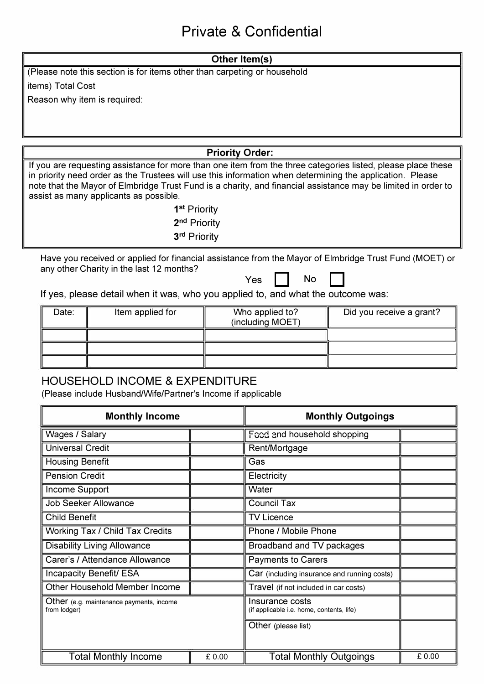#### **Other ltem(s)**

(Please note this section is for items other than carpeting or household

items) Total Cost

Reason why item is required:

**Priority Order:** 

If you are requesting assistance for more than one item from the three categories listed, please place these in priority need order as the Trustees will use this information when determining the application. Please note that the Mayor of Elmbridge Trust Fund is a charity, and financial assistance may be limited in order to assist as many applicants as possible.

> **1 st** Priority 2**nd** Priority 3rd Priority

Have you received or applied for financial assistance from the Mayor of Elmbridge Trust Fund (MOET) or any other Charity in the last 12 months?

Yes II No

If yes, please detail when it was, who you applied to, and what the outcome was:

| Date: | Item applied for | Who applied to?<br>(including MOET) | Did you receive a grant? |
|-------|------------------|-------------------------------------|--------------------------|
|       |                  |                                     |                          |
|       |                  |                                     |                          |
|       |                  |                                     |                          |

#### HOUSEHOLD INCOME & EXPENDITURE

(Please include Husband/Wife/Partner's Income if applicable

| <b>Monthly Income</b>                                    |       | <b>Monthly Outgoings</b>                                     |       |
|----------------------------------------------------------|-------|--------------------------------------------------------------|-------|
| Wages / Salary                                           |       | Food and household shopping                                  |       |
| <b>Universal Credit</b>                                  |       | Rent/Mortgage                                                |       |
| <b>Housing Benefit</b>                                   |       | Gas                                                          |       |
| <b>Pension Credit</b>                                    |       | Electricity                                                  |       |
| Income Support                                           |       | Water                                                        |       |
| <b>Job Seeker Allowance</b>                              |       | <b>Council Tax</b>                                           |       |
| <b>Child Benefit</b>                                     |       | <b>TV Licence</b>                                            |       |
| Working Tax / Child Tax Credits                          |       | Phone / Mobile Phone                                         |       |
| <b>Disability Living Allowance</b>                       |       | Broadband and TV packages                                    |       |
| Carer's / Attendance Allowance                           |       | <b>Payments to Carers</b>                                    |       |
| Incapacity Benefit/ ESA                                  |       | Car (including insurance and running costs)                  |       |
| Other Household Member Income                            |       | Travel (if not included in car costs)                        |       |
| Other (e.g. maintenance payments, income<br>from lodger) |       | Insurance costs<br>(if applicable i.e. home, contents, life) |       |
|                                                          |       | Other (please list)                                          |       |
| <b>Total Monthly Income</b>                              | £0.00 | <b>Total Monthly Outgoings</b>                               | £0.00 |